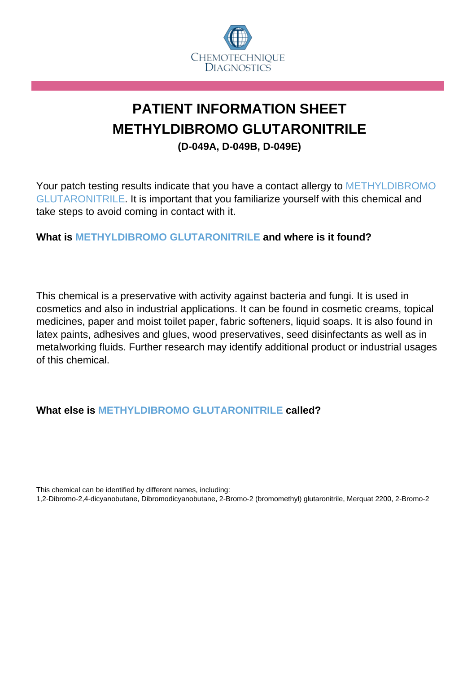

## **PATIENT INFORMATION SHEET METHYLDIBROMO GLUTARONITRILE (D-049A, D-049B, D-049E)**

Your patch testing results indicate that you have a contact allergy to METHYLDIBROMO GLUTARONITRILE. It is important that you familiarize yourself with this chemical and take steps to avoid coming in contact with it.

## **What is METHYLDIBROMO GLUTARONITRILE and where is it found?**

This chemical is a preservative with activity against bacteria and fungi. It is used in cosmetics and also in industrial applications. It can be found in cosmetic creams, topical medicines, paper and moist toilet paper, fabric softeners, liquid soaps. It is also found in latex paints, adhesives and glues, wood preservatives, seed disinfectants as well as in metalworking fluids. Further research may identify additional product or industrial usages of this chemical.

## **What else is METHYLDIBROMO GLUTARONITRILE called?**

This chemical can be identified by different names, including:

1,2-Dibromo-2,4-dicyanobutane, Dibromodicyanobutane, 2-Bromo-2 (bromomethyl) glutaronitrile, Merquat 2200, 2-Bromo-2